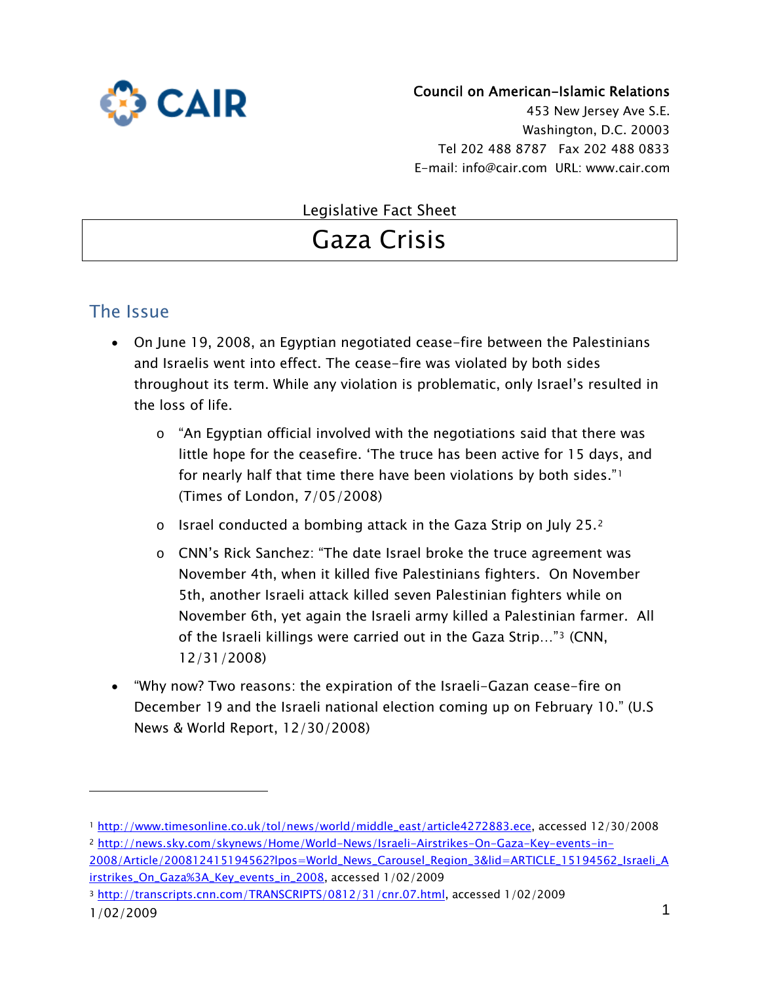

#### Council on American-Islamic Relations

453 New Jersey Ave S.E. Washington, D.C. 20003 Tel 202 488 8787 Fax 202 488 0833 E-mail: info@cair.com URL: www.cair.com

#### Legislative Fact Sheet

# Gaza Crisis

## The Issue

- On June 19, 2008, an Egyptian negotiated cease-fire between the Palestinians and Israelis went into effect. The cease-fire was violated by both sides throughout its term. While any violation is problematic, only Israel's resulted in the loss of life.
	- o "An Egyptian official involved with the negotiations said that there was little hope for the ceasefire. 'The truce has been active for 15 days, and for nearly half that time there have been violations by both sides."[1](#page-0-0) (Times of London, 7/05/2008)
	- o Israel conducted a bombing attack in the Gaza Strip on July 25.[2](#page-0-1)
	- o CNN's Rick Sanchez: "The date Israel broke the truce agreement was November 4th, when it killed five Palestinians fighters. On November 5th, another Israeli attack killed seven Palestinian fighters while on November 6th, yet again the Israeli army killed a Palestinian farmer. All of the Israeli killings were carried out in the Gaza Strip…"[3](#page-0-2) (CNN, 12/31/2008)
- "Why now? Two reasons: the expiration of the Israeli-Gazan cease-fire on December 19 and the Israeli national election coming up on February 10." (U.S News & World Report, 12/30/2008)

<span id="page-0-1"></span><span id="page-0-0"></span><sup>1</sup> [http://www.timesonline.co.uk/tol/news/world/middle\\_east/article4272883.ece](http://www.timesonline.co.uk/tol/news/world/middle_east/article4272883.ece), accessed 12/30/2008 <sup>2</sup> [http://news.sky.com/skynews/Home/World-News/Israeli-Airstrikes-On-Gaza-Key-events-in-](http://news.sky.com/skynews/Home/World-News/Israeli-Airstrikes-On-Gaza-Key-events-in-2008/Article/200812415194562?lpos=World_News_Carousel_Region_3&lid=ARTICLE_15194562_Israeli_Airstrikes_On_Gaza%3A_Key_events_in_2008)

[<sup>2008/</sup>Article/200812415194562?lpos=World\\_News\\_Carousel\\_Region\\_3&lid=ARTICLE\\_15194562\\_Israeli\\_A](http://news.sky.com/skynews/Home/World-News/Israeli-Airstrikes-On-Gaza-Key-events-in-2008/Article/200812415194562?lpos=World_News_Carousel_Region_3&lid=ARTICLE_15194562_Israeli_Airstrikes_On_Gaza%3A_Key_events_in_2008) [irstrikes\\_On\\_Gaza%3A\\_Key\\_events\\_in\\_2008](http://news.sky.com/skynews/Home/World-News/Israeli-Airstrikes-On-Gaza-Key-events-in-2008/Article/200812415194562?lpos=World_News_Carousel_Region_3&lid=ARTICLE_15194562_Israeli_Airstrikes_On_Gaza%3A_Key_events_in_2008), accessed 1/02/2009

<span id="page-0-2"></span><sup>1/02/2009</sup> 1 <sup>3</sup> [http://transcripts.cnn.com/TRANSCRIPTS/0812/31/cnr.07.html,](http://transcripts.cnn.com/TRANSCRIPTS/0812/31/cnr.07.html) accessed 1/02/2009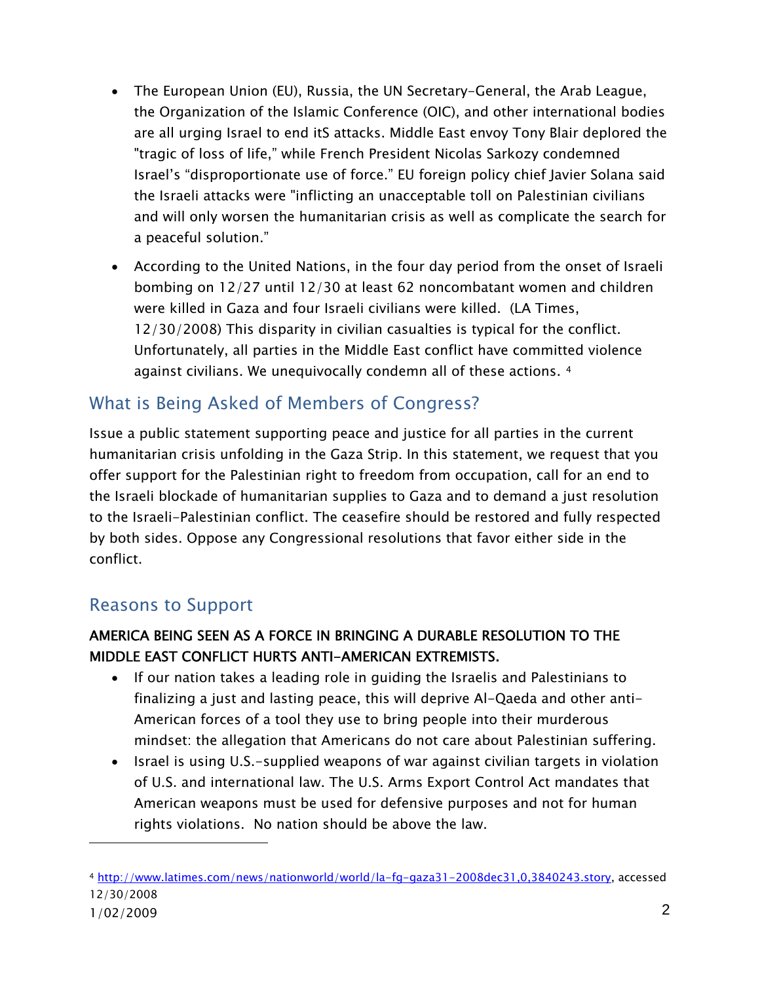- The European Union (EU), Russia, the UN Secretary-General, the Arab League, the Organization of the Islamic Conference (OIC), and other international bodies are all urging Israel to end itS attacks. Middle East envoy Tony Blair deplored the "tragic of loss of life," while French President Nicolas Sarkozy condemned Israel's "disproportionate use of force." EU foreign policy chief Javier Solana said the Israeli attacks were "inflicting an unacceptable toll on Palestinian civilians and will only worsen the humanitarian crisis as well as complicate the search for a peaceful solution."
- According to the United Nations, in the four day period from the onset of Israeli bombing on 12/27 until 12/30 at least 62 noncombatant women and children were killed in Gaza and four Israeli civilians were killed. (LA Times, 12/30/2008) This disparity in civilian casualties is typical for the conflict. Unfortunately, all parties in the Middle East conflict have committed violence against civilians. We unequivocally condemn all of these actions. [4](#page-1-0)

# What is Being Asked of Members of Congress?

Issue a public statement supporting peace and justice for all parties in the current humanitarian crisis unfolding in the Gaza Strip. In this statement, we request that you offer support for the Palestinian right to freedom from occupation, call for an end to the Israeli blockade of humanitarian supplies to Gaza and to demand a just resolution to the Israeli-Palestinian conflict. The ceasefire should be restored and fully respected by both sides. Oppose any Congressional resolutions that favor either side in the conflict.

# Reasons to Support

#### AMERICA BEING SEEN AS A FORCE IN BRINGING A DURABLE RESOLUTION TO THE MIDDLE EAST CONFLICT HURTS ANTI-AMERICAN EXTREMISTS.

- If our nation takes a leading role in guiding the Israelis and Palestinians to finalizing a just and lasting peace, this will deprive Al-Qaeda and other anti-American forces of a tool they use to bring people into their murderous mindset: the allegation that Americans do not care about Palestinian suffering.
- Israel is using U.S.-supplied weapons of war against civilian targets in violation of U.S. and international law. The U.S. Arms Export Control Act mandates that American weapons must be used for defensive purposes and not for human rights violations. No nation should be above the law.

<span id="page-1-0"></span><sup>1/02/2009</sup> 2 <sup>4</sup> <http://www.latimes.com/news/nationworld/world/la-fg-gaza31-2008dec31,0,3840243.story>, accessed 12/30/2008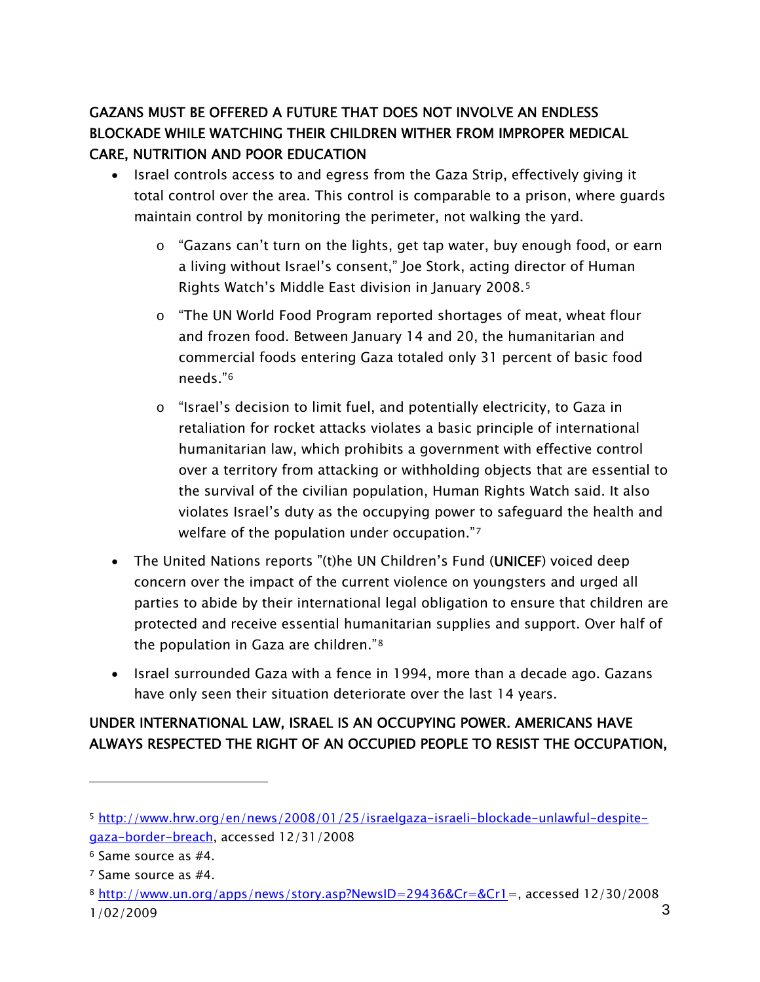## GAZANS MUST BE OFFERED A FUTURE THAT DOES NOT INVOLVE AN ENDLESS BLOCKADE WHILE WATCHING THEIR CHILDREN WITHER FROM IMPROPER MEDICAL CARE, NUTRITION AND POOR EDUCATION

- Israel controls access to and egress from the Gaza Strip, effectively giving it total control over the area. This control is comparable to a prison, where guards maintain control by monitoring the perimeter, not walking the yard.
	- o "Gazans can't turn on the lights, get tap water, buy enough food, or earn a living without Israel's consent," Joe Stork, acting director of Human Rights Watch's Middle East division in January 2008.[5](#page-2-0)
	- $\circ$  "The UN World Food Program reported shortages of meat, wheat flour and frozen food. Between January 14 and 20, the humanitarian and commercial foods entering Gaza totaled only 31 percent of basic food needs."[6](#page-2-1)
	- o "Israel's decision to limit fuel, and potentially electricity, to Gaza in retaliation for rocket attacks violates a basic principle of international humanitarian law, which prohibits a government with effective control over a territory from attacking or withholding objects that are essential to the survival of the civilian population, Human Rights Watch said. It also violates Israel's duty as the occupying power to safeguard the health and welfare of the population under occupation."[7](#page-2-2)
- The United Nations reports "(t)he UN Children's Fund [\(UNICEF\)](http://www.unicef.org/media/media_46970.html) voiced deep concern over the impact of the current violence on youngsters and urged all parties to abide by their international legal obligation to ensure that children are protected and receive essential humanitarian supplies and support. Over half of the population in Gaza are children."[8](#page-2-3)
- Israel surrounded Gaza with a fence in 1994, more than a decade ago. Gazans have only seen their situation deteriorate over the last 14 years.

#### UNDER INTERNATIONAL LAW, ISRAEL IS AN OCCUPYING POWER. AMERICANS HAVE ALWAYS RESPECTED THE RIGHT OF AN OCCUPIED PEOPLE TO RESIST THE OCCUPATION,

<span id="page-2-0"></span><sup>5</sup> [http://www.hrw.org/en/news/2008/01/25/israelgaza-israeli-blockade-unlawful-despite](http://www.hrw.org/en/news/2008/01/25/israelgaza-israeli-blockade-unlawful-despite-gaza-border-breach)[gaza-border-breach,](http://www.hrw.org/en/news/2008/01/25/israelgaza-israeli-blockade-unlawful-despite-gaza-border-breach) accessed 12/31/2008

<span id="page-2-1"></span><sup>6</sup> Same source as #4.

<span id="page-2-2"></span><sup>7</sup> Same source as #4.

<span id="page-2-3"></span> $1/02/2009$  3 <sup>8</sup> <http://www.un.org/apps/news/story.asp?NewsID=29436&Cr=&Cr1>=, accessed 12/30/2008